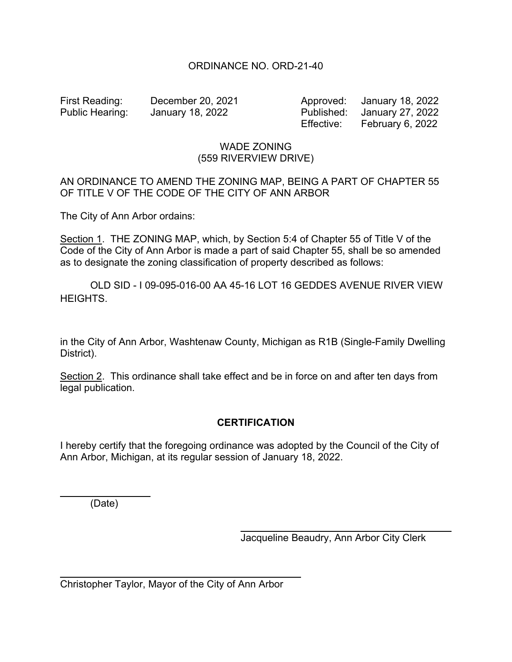## ORDINANCE NO. ORD-21-40

First Reading: December 20, 2021 Approved: January 18, 2022 Public Hearing: January 18, 2022 Published: January 27, 2022 Effective: February 6, 2022

## WADE ZONING (559 RIVERVIEW DRIVE)

## AN ORDINANCE TO AMEND THE ZONING MAP, BEING A PART OF CHAPTER 55 OF TITLE V OF THE CODE OF THE CITY OF ANN ARBOR

The City of Ann Arbor ordains:

Section 1. THE ZONING MAP, which, by Section 5:4 of Chapter 55 of Title V of the Code of the City of Ann Arbor is made a part of said Chapter 55, shall be so amended as to designate the zoning classification of property described as follows:

 OLD SID - I 09-095-016-00 AA 45-16 LOT 16 GEDDES AVENUE RIVER VIEW HEIGHTS.

in the City of Ann Arbor, Washtenaw County, Michigan as R1B (Single-Family Dwelling District).

Section 2. This ordinance shall take effect and be in force on and after ten days from legal publication.

## **CERTIFICATION**

I hereby certify that the foregoing ordinance was adopted by the Council of the City of Ann Arbor, Michigan, at its regular session of January 18, 2022.

(Date)

l

 $\overline{a}$ 

Jacqueline Beaudry, Ann Arbor City Clerk

Christopher Taylor, Mayor of the City of Ann Arbor